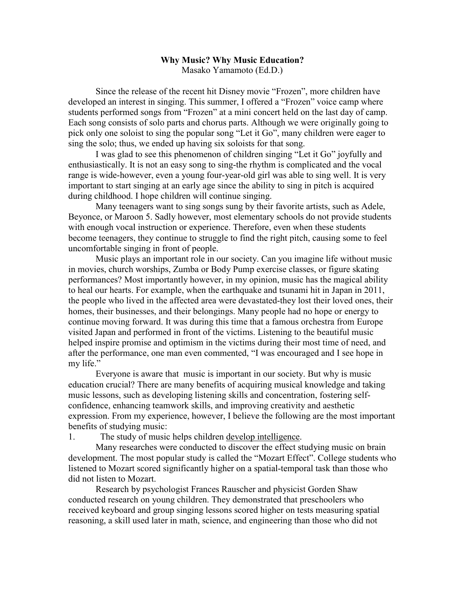## **Why Music? Why Music Education?** Masako Yamamoto (Ed.D.)

Since the release of the recent hit Disney movie "Frozen", more children have developed an interest in singing. This summer, I offered a "Frozen" voice camp where students performed songs from "Frozen" at a mini concert held on the last day of camp. Each song consists of solo parts and chorus parts. Although we were originally going to pick only one soloist to sing the popular song "Let it Go", many children were eager to sing the solo; thus, we ended up having six soloists for that song.

I was glad to see this phenomenon of children singing "Let it Go" joyfully and enthusiastically. It is not an easy song to sing-the rhythm is complicated and the vocal range is wide-however, even a young four-year-old girl was able to sing well. It is very important to start singing at an early age since the ability to sing in pitch is acquired during childhood. I hope children will continue singing.

Many teenagers want to sing songs sung by their favorite artists, such as Adele, Beyonce, or Maroon 5. Sadly however, most elementary schools do not provide students with enough vocal instruction or experience. Therefore, even when these students become teenagers, they continue to struggle to find the right pitch, causing some to feel uncomfortable singing in front of people.

Music plays an important role in our society. Can you imagine life without music in movies, church worships, Zumba or Body Pump exercise classes, or figure skating performances? Most importantly however, in my opinion, music has the magical ability to heal our hearts. For example, when the earthquake and tsunami hit in Japan in 2011, the people who lived in the affected area were devastated-they lost their loved ones, their homes, their businesses, and their belongings. Many people had no hope or energy to continue moving forward. It was during this time that a famous orchestra from Europe visited Japan and performed in front of the victims. Listening to the beautiful music helped inspire promise and optimism in the victims during their most time of need, and after the performance, one man even commented, "I was encouraged and I see hope in my life."

Everyone is aware that music is important in our society. But why is music education crucial? There are many benefits of acquiring musical knowledge and taking music lessons, such as developing listening skills and concentration, fostering selfconfidence, enhancing teamwork skills, and improving creativity and aesthetic expression. From my experience, however, I believe the following are the most important benefits of studying music:

1. The study of music helps children develop intelligence.

Many researches were conducted to discover the effect studying music on brain development. The most popular study is called the "Mozart Effect". College students who listened to Mozart scored significantly higher on a spatial-temporal task than those who did not listen to Mozart.

Research by psychologist Frances Rauscher and physicist Gorden Shaw conducted research on young children. They demonstrated that preschoolers who received keyboard and group singing lessons scored higher on tests measuring spatial reasoning, a skill used later in math, science, and engineering than those who did not